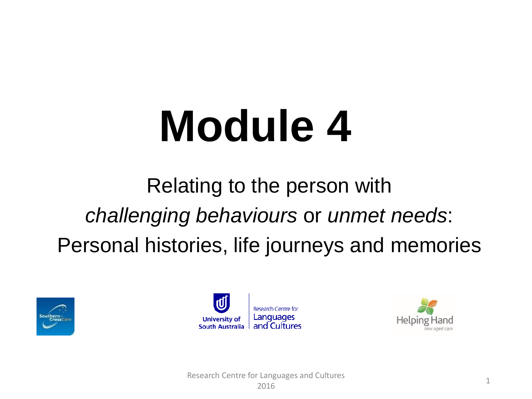# **Module 4**

Relating to the person with *challenging behaviours* or *unmet needs*: Personal histories, life journeys and memories





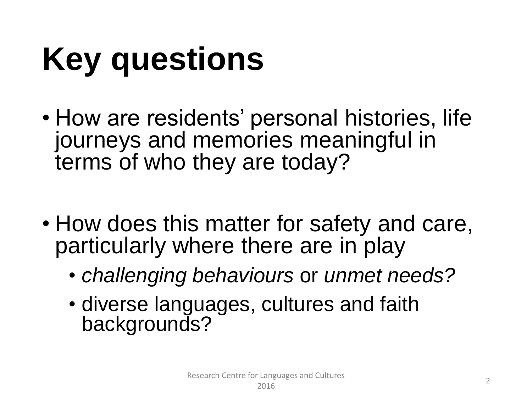# **Key questions**

- How are residents' personal histories, life journeys and memories meaningful in terms of who they are today?
- How does this matter for safety and care, particularly where there are in play
	- *challenging behaviours* or *unmet needs?*
	- diverse languages, cultures and faith backgrounds?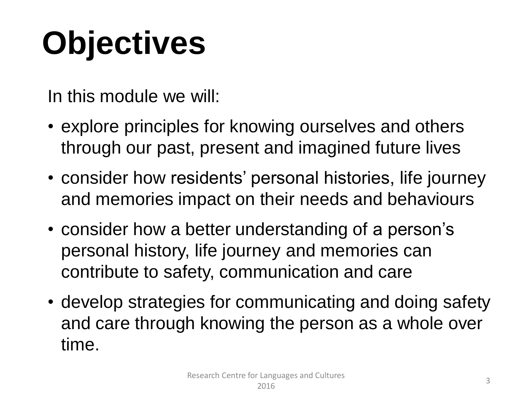### **Objectives**

In this module we will:

- explore principles for knowing ourselves and others through our past, present and imagined future lives
- consider how residents' personal histories, life journey and memories impact on their needs and behaviours
- consider how a better understanding of a person's personal history, life journey and memories can contribute to safety, communication and care
- develop strategies for communicating and doing safety and care through knowing the person as a whole over time.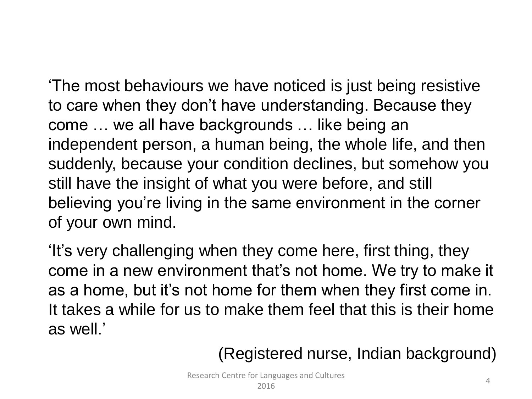#### 'The most behaviours we have noticed is just being resistive to care when they don't have understanding. Because they come … we all have backgrounds … like being an independent person, a human being, the whole life, and then suddenly, because your condition declines, but somehow you still have the insight of what you were before, and still

believing you're living in the same environment in the corner of your own mind.

'It's very challenging when they come here, first thing, they come in a new environment that's not home. We try to make it as a home, but it's not home for them when they first come in. It takes a while for us to make them feel that this is their home as well.'

(Registered nurse, Indian background)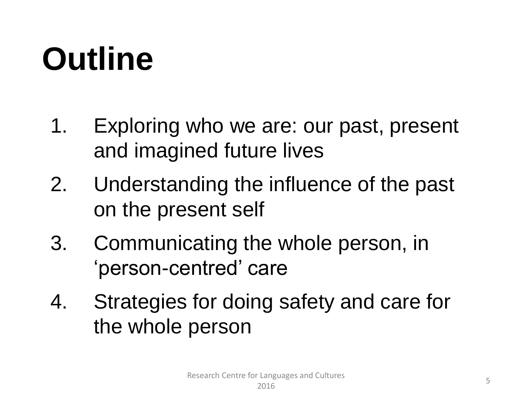### **Outline**

- 1. Exploring who we are: our past, present and imagined future lives
- 2. Understanding the influence of the past on the present self
- 3. Communicating the whole person, in 'person-centred' care
- 4. Strategies for doing safety and care for the whole person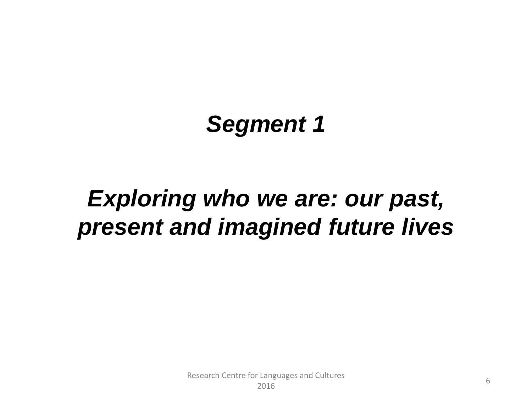### *Segment 1*

#### *Exploring who we are: our past, present and imagined future lives*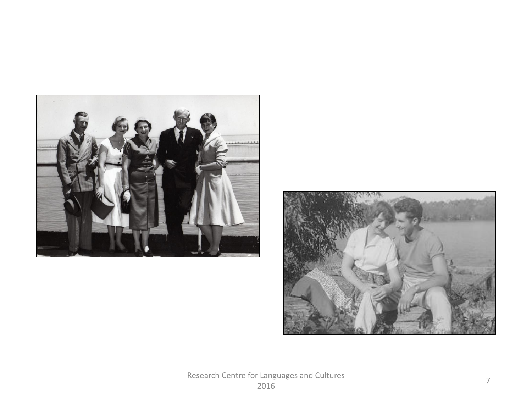

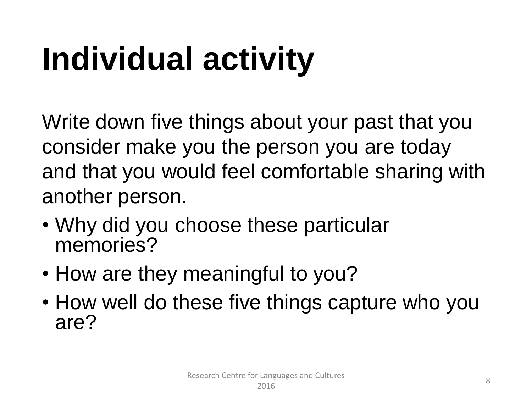### **Individual activity**

Write down five things about your past that you consider make you the person you are today and that you would feel comfortable sharing with another person.

- Why did you choose these particular memories?
- How are they meaningful to you?
- How well do these five things capture who you are?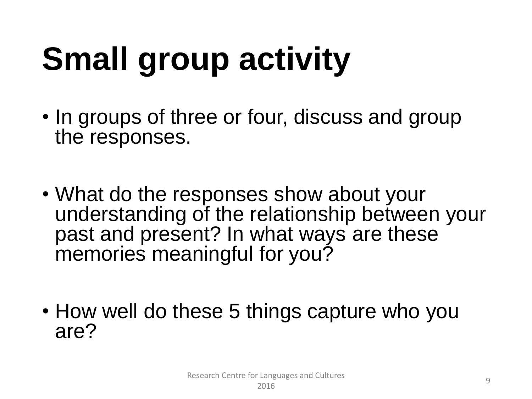# **Small group activity**

- In groups of three or four, discuss and group the responses.
- What do the responses show about your understanding of the relationship between your past and present? In what ways are these memories meaningful for you?
- How well do these 5 things capture who you are?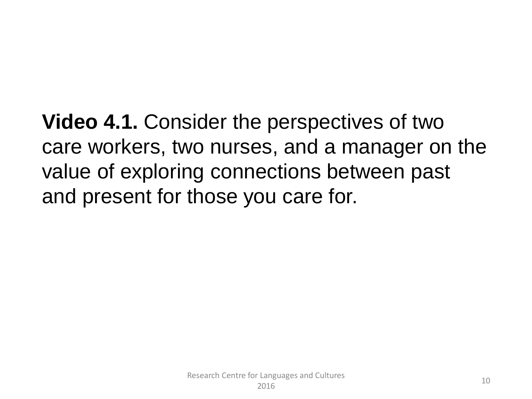**Video 4.1.** Consider the perspectives of two care workers, two nurses, and a manager on the value of exploring connections between past and present for those you care for.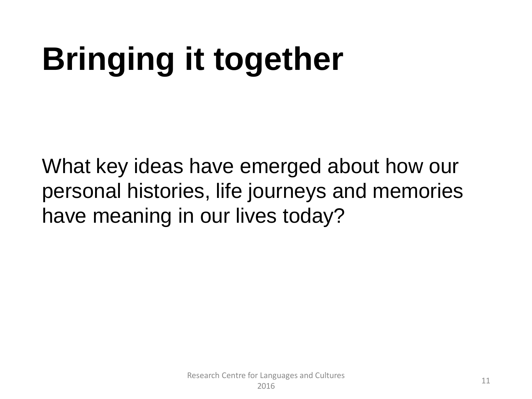### **Bringing it together**

What key ideas have emerged about how our personal histories, life journeys and memories have meaning in our lives today?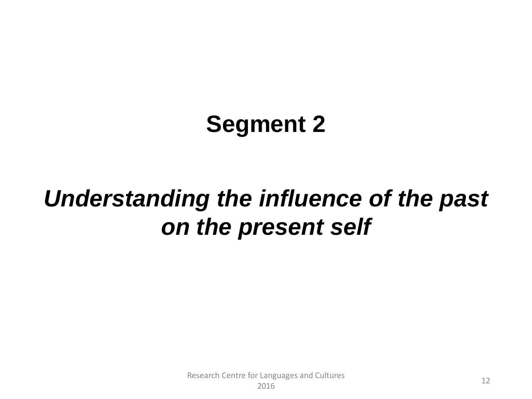### **Segment 2**

#### *Understanding the influence of the past on the present self*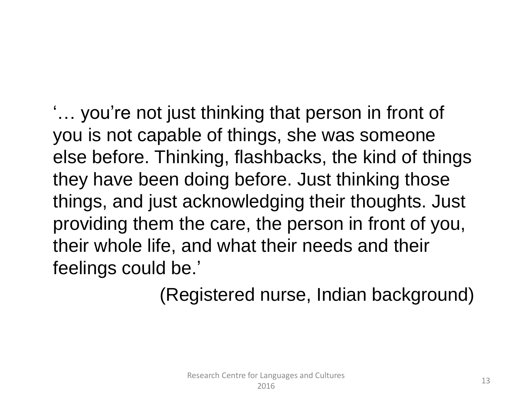'… you're not just thinking that person in front of you is not capable of things, she was someone else before. Thinking, flashbacks, the kind of things they have been doing before. Just thinking those things, and just acknowledging their thoughts. Just providing them the care, the person in front of you, their whole life, and what their needs and their feelings could be.'

(Registered nurse, Indian background)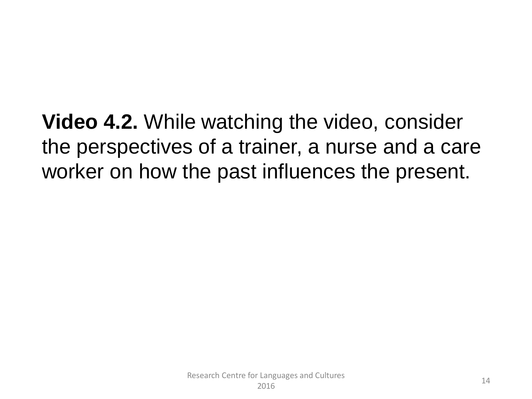**Video 4.2.** While watching the video, consider the perspectives of a trainer, a nurse and a care worker on how the past influences the present.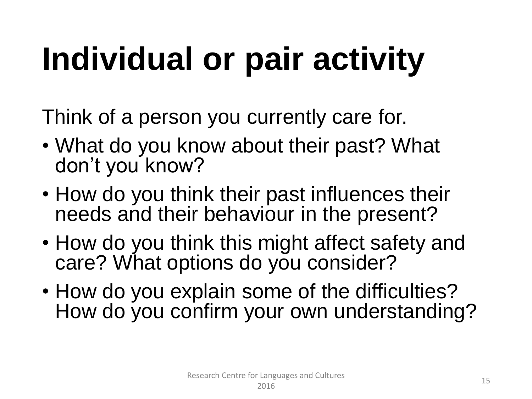# **Individual or pair activity**

Think of a person you currently care for.

- What do you know about their past? What don't you know?
- How do you think their past influences their needs and their behaviour in the present?
- How do you think this might affect safety and care? What options do you consider?
- How do you explain some of the difficulties? How do you confirm your own understanding?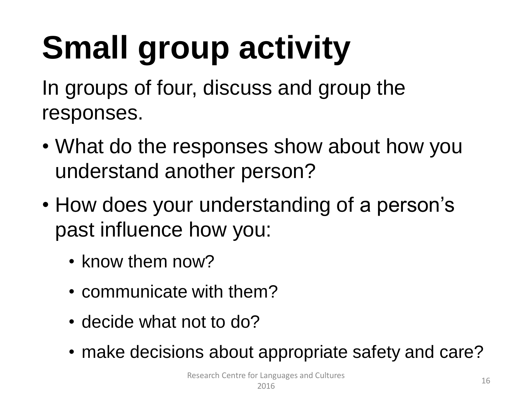# **Small group activity**

In groups of four, discuss and group the responses.

- What do the responses show about how you understand another person?
- How does your understanding of a person's past influence how you:
	- know them now?
	- communicate with them?
	- decide what not to do?
	- make decisions about appropriate safety and care?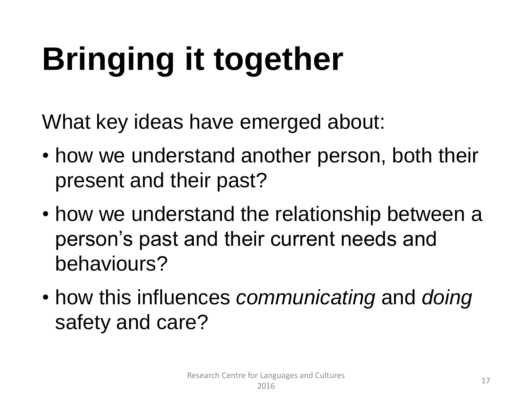# **Bringing it together**

What key ideas have emerged about:

- how we understand another person, both their present and their past?
- how we understand the relationship between a person's past and their current needs and behaviours?
- how this influences *communicating* and *doing* safety and care?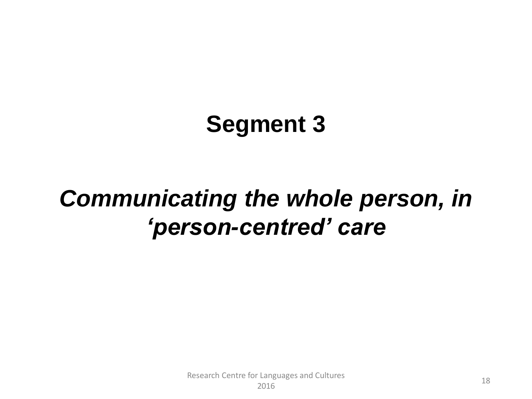#### **Segment 3**

#### *Communicating the whole person, in 'person-centred' care*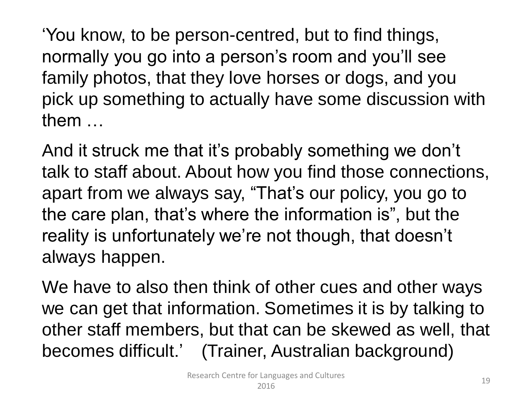'You know, to be person-centred, but to find things, normally you go into a person's room and you'll see family photos, that they love horses or dogs, and you pick up something to actually have some discussion with them …

And it struck me that it's probably something we don't talk to staff about. About how you find those connections, apart from we always say, "That's our policy, you go to the care plan, that's where the information is", but the reality is unfortunately we're not though, that doesn't always happen.

We have to also then think of other cues and other ways we can get that information. Sometimes it is by talking to other staff members, but that can be skewed as well, that becomes difficult.' (Trainer, Australian background)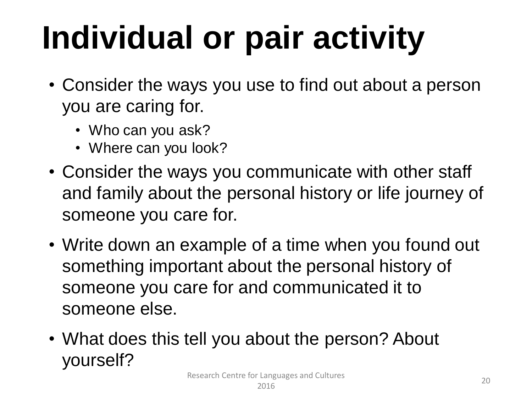### **Individual or pair activity**

- Consider the ways you use to find out about a person you are caring for.
	- Who can you ask?
	- Where can you look?
- Consider the ways you communicate with other staff and family about the personal history or life journey of someone you care for.
- Write down an example of a time when you found out something important about the personal history of someone you care for and communicated it to someone else.
- What does this tell you about the person? About yourself?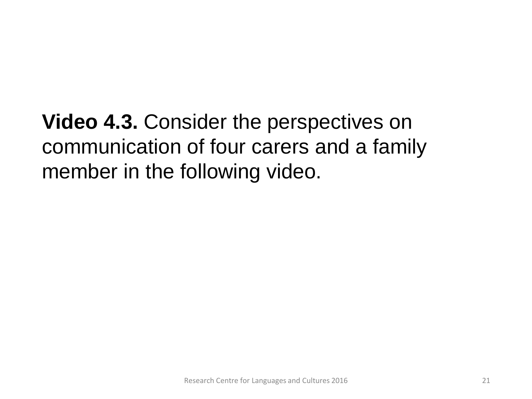**Video 4.3.** Consider the perspectives on communication of four carers and a family member in the following video.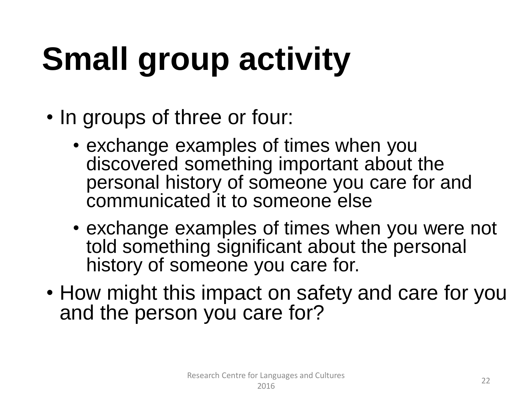# **Small group activity**

- In groups of three or four:
	- exchange examples of times when you discovered something important about the personal history of someone you care for and communicated it to someone else
	- exchange examples of times when you were not told something significant about the personal history of someone you care for.
- How might this impact on safety and care for you and the person you care for?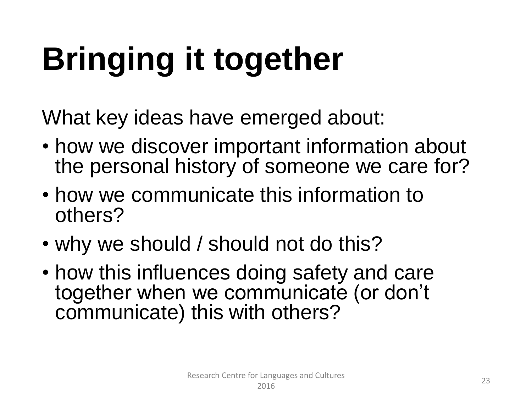# **Bringing it together**

What key ideas have emerged about:

- how we discover important information about the personal history of someone we care for?
- how we communicate this information to others?
- why we should / should not do this?
- how this influences doing safety and care together when we communicate (or don't communicate) this with others?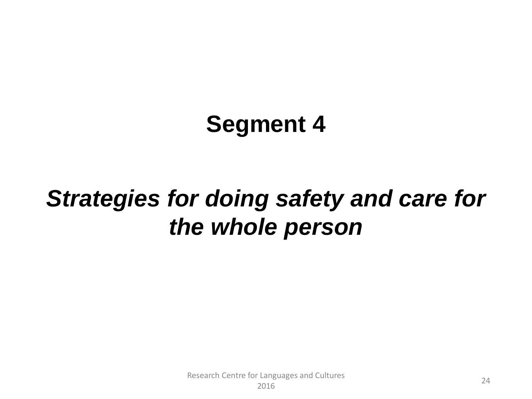#### **Segment 4**

#### *Strategies for doing safety and care for the whole person*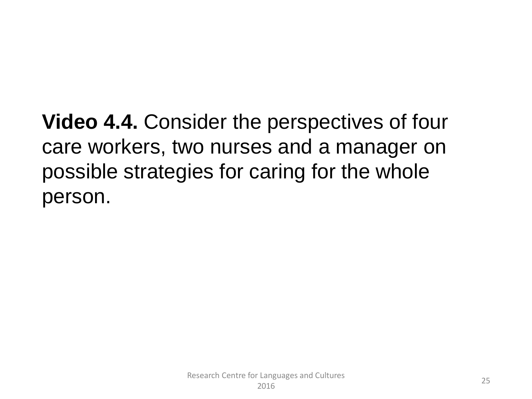**Video 4.4.** Consider the perspectives of four care workers, two nurses and a manager on possible strategies for caring for the whole person.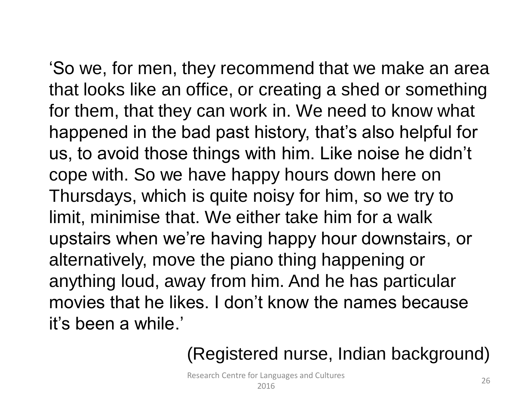'So we, for men, they recommend that we make an area

that looks like an office, or creating a shed or something for them, that they can work in. We need to know what happened in the bad past history, that's also helpful for us, to avoid those things with him. Like noise he didn't cope with. So we have happy hours down here on Thursdays, which is quite noisy for him, so we try to limit, minimise that. We either take him for a walk upstairs when we're having happy hour downstairs, or alternatively, move the piano thing happening or anything loud, away from him. And he has particular movies that he likes. I don't know the names because it's been a while.'

#### (Registered nurse, Indian background)

Research Centre for Languages and Cultures zungauges and editores and the contracts and the contracts of the contracts of the contract of the contract of the contract of the contract of the contract of the contract of the contract of the contract of the contract of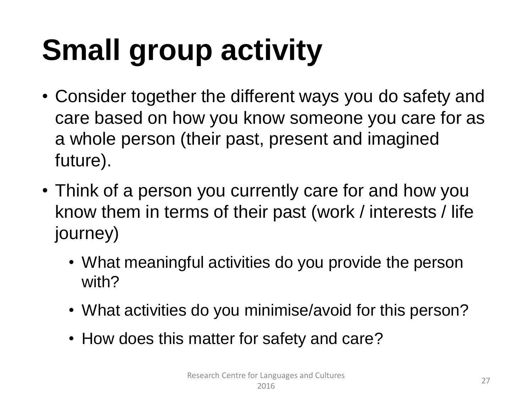### **Small group activity**

- Consider together the different ways you do safety and care based on how you know someone you care for as a whole person (their past, present and imagined future).
- Think of a person you currently care for and how you know them in terms of their past (work / interests / life journey)
	- What meaningful activities do you provide the person with?
	- What activities do you minimise/avoid for this person?
	- How does this matter for safety and care?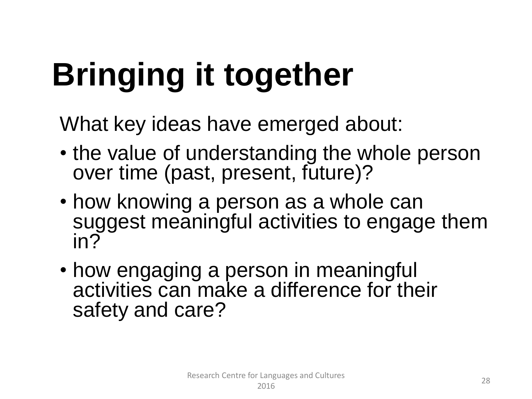### **Bringing it together**

What key ideas have emerged about:

- the value of understanding the whole person over time (past, present, future)?
- how knowing a person as a whole can suggest meaningful activities to engage them in?
- how engaging a person in meaningful activities can make a difference for their safety and care?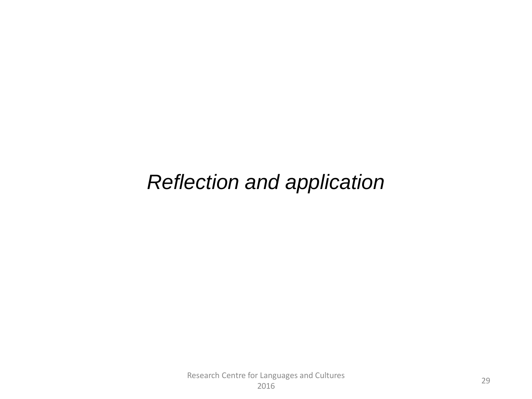#### *Reflection and application*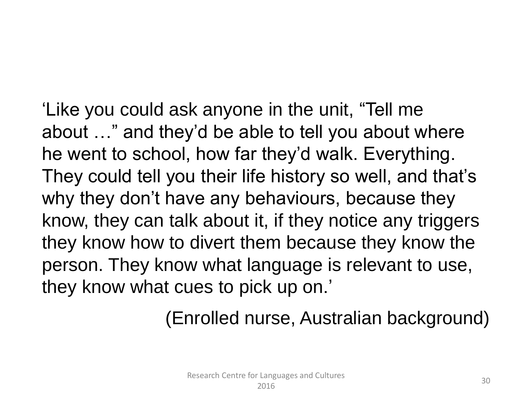'Like you could ask anyone in the unit, "Tell me about …" and they'd be able to tell you about where he went to school, how far they'd walk. Everything. They could tell you their life history so well, and that's why they don't have any behaviours, because they know, they can talk about it, if they notice any triggers they know how to divert them because they know the person. They know what language is relevant to use, they know what cues to pick up on.'

(Enrolled nurse, Australian background)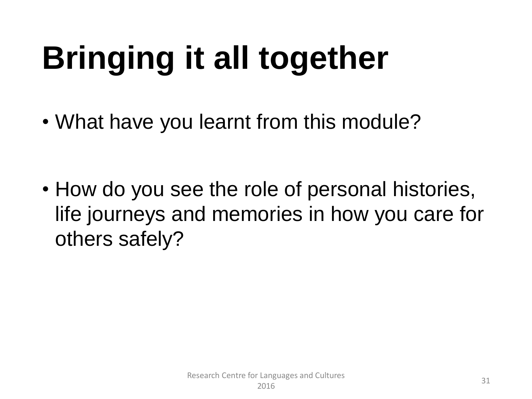# **Bringing it all together**

• What have you learnt from this module?

• How do you see the role of personal histories, life journeys and memories in how you care for others safely?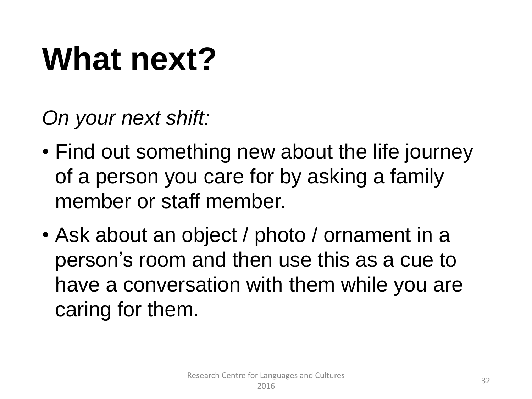### **What next?**

*On your next shift:* 

- Find out something new about the life journey of a person you care for by asking a family member or staff member.
- Ask about an object / photo / ornament in a person's room and then use this as a cue to have a conversation with them while you are caring for them.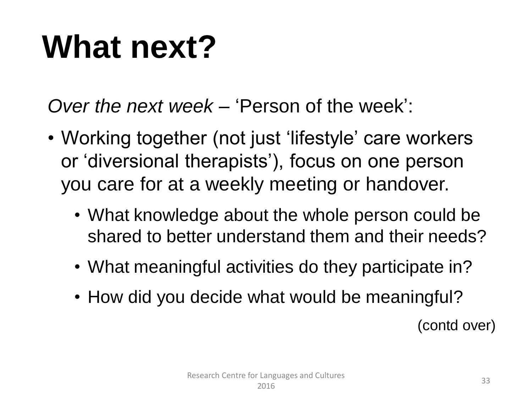### **What next?**

*Over the next week –* 'Person of the week':

- Working together (not just 'lifestyle' care workers or 'diversional therapists'), focus on one person you care for at a weekly meeting or handover.
	- What knowledge about the whole person could be shared to better understand them and their needs?
	- What meaningful activities do they participate in?
	- How did you decide what would be meaningful?

(contd over)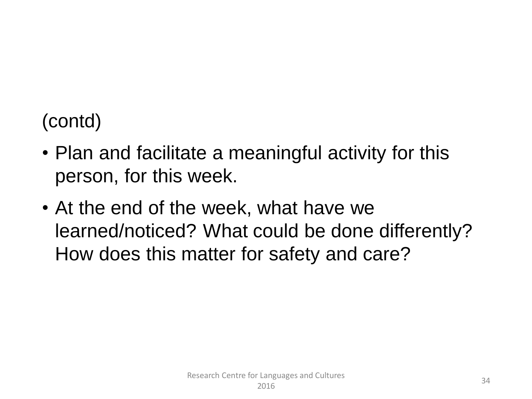#### (contd)

- Plan and facilitate a meaningful activity for this person, for this week.
- At the end of the week, what have we learned/noticed? What could be done differently? How does this matter for safety and care?